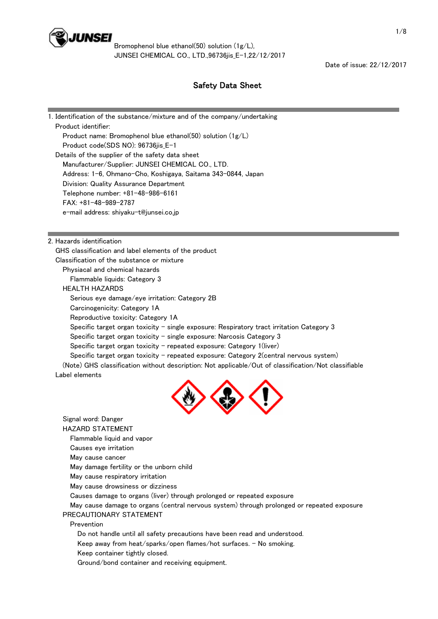

Date of issue: 22/12/2017

# Safety Data Sheet

| 1. Identification of the substance/mixture and of the company/undertaking |
|---------------------------------------------------------------------------|
| Product identifier:                                                       |
| Product name: Bromophenol blue ethanol(50) solution (1g/L)                |
| Product code(SDS NO): 96736jis_E-1                                        |
| Details of the supplier of the safety data sheet                          |
| Manufacturer/Supplier: JUNSEI CHEMICAL CO., LTD.                          |
| Address: 1-6, Ohmano-Cho, Koshigaya, Saitama 343-0844, Japan              |
| Division: Quality Assurance Department                                    |
| Telephone number: +81-48-986-6161                                         |
| $FAX: +81-48-989-2787$                                                    |
| e-mail address: shiyaku-t@junsei.co.jp                                    |
|                                                                           |

2. Hazards identification

 GHS classification and label elements of the product Classification of the substance or mixture

Physiacal and chemical hazards

Flammable liquids: Category 3

HEALTH HAZARDS

Signal word: Danger

Serious eye damage/eye irritation: Category 2B

Carcinogenicity: Category 1A

Reproductive toxicity: Category 1A

Specific target organ toxicity - single exposure: Respiratory tract irritation Category  $3$ 

Specific target organ toxicity  $-$  single exposure: Narcosis Category 3

Specific target organ toxicity  $-$  repeated exposure: Category 1(liver)

Specific target organ toxicity - repeated exposure: Category 2(central nervous system)

 (Note) GHS classification without description: Not applicable/Out of classification/Not classifiable Label elements



 HAZARD STATEMENT Flammable liquid and vapor Causes eye irritation May cause cancer May damage fertility or the unborn child May cause respiratory irritation May cause drowsiness or dizziness Causes damage to organs (liver) through prolonged or repeated exposure May cause damage to organs (central nervous system) through prolonged or repeated exposure PRECAUTIONARY STATEMENT Prevention Do not handle until all safety precautions have been read and understood. Keep away from heat/sparks/open flames/hot surfaces.  $-$  No smoking. Keep container tightly closed. Ground/bond container and receiving equipment.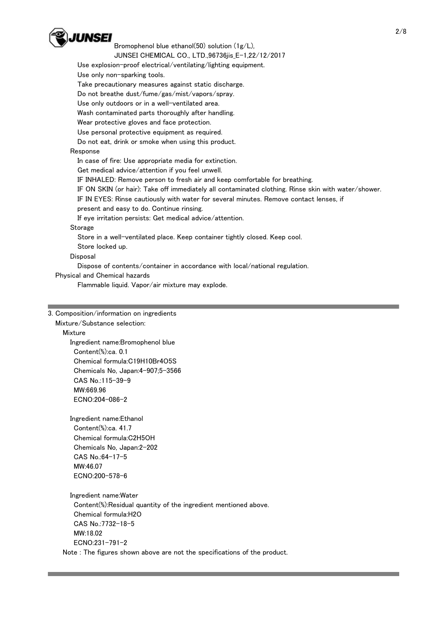

Bromophenol blue ethanol(50) solution (1g/L),

### JUNSEI CHEMICAL CO., LTD.,96736jis\_E-1,22/12/2017

Use explosion-proof electrical/ventilating/lighting equipment.

Use only non-sparking tools.

Take precautionary measures against static discharge.

Do not breathe dust/fume/gas/mist/vapors/spray.

Use only outdoors or in a well-ventilated area.

Wash contaminated parts thoroughly after handling.

Wear protective gloves and face protection.

Use personal protective equipment as required.

Do not eat, drink or smoke when using this product.

## Response

In case of fire: Use appropriate media for extinction.

Get medical advice/attention if you feel unwell.

IF INHALED: Remove person to fresh air and keep comfortable for breathing.

IF ON SKIN (or hair): Take off immediately all contaminated clothing. Rinse skin with water/shower.

IF IN EYES: Rinse cautiously with water for several minutes. Remove contact lenses, if

present and easy to do. Continue rinsing.

If eye irritation persists: Get medical advice/attention.

### **Storage**

Store in a well-ventilated place. Keep container tightly closed. Keep cool.

Store locked up.

## Disposal

Dispose of contents/container in accordance with local/national regulation.

Physical and Chemical hazards

Flammable liquid. Vapor/air mixture may explode.

## 3. Composition/information on ingredients

#### Mixture/Substance selection:

Mixture

 Ingredient name:Bromophenol blue Content(%):ca. 0.1 Chemical formula:C19H10Br4O5S Chemicals No, Japan:4-907;5-3566 CAS No.:115-39-9 MW:669.96 ECNO:204-086-2

Ingredient name:Ethanol

 Content(%):ca. 41.7 Chemical formula:C2H5OH Chemicals No, Japan:2-202 CAS No.:64-17-5 MW:46.07 ECNO:200-578-6

 Ingredient name:Water Content(%):Residual quantity of the ingredient mentioned above. Chemical formula:H2O CAS No.:7732-18-5 MW:18.02 ECNO:231-791-2 Note : The figures shown above are not the specifications of the product.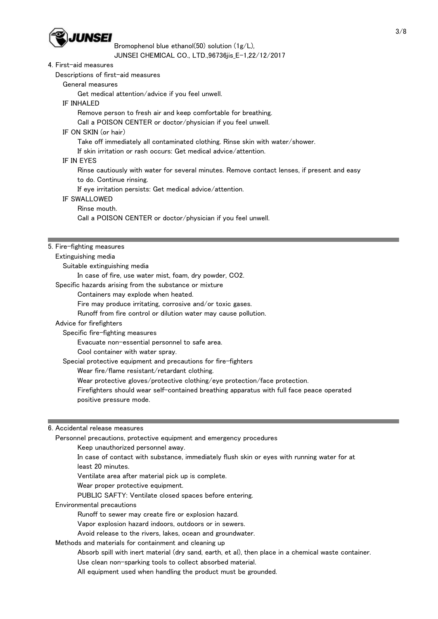

Bromophenol blue ethanol(50) solution (1g/L),

JUNSEI CHEMICAL CO., LTD.,96736jis\_E-1,22/12/2017

### 4. First-aid measures

Descriptions of first-aid measures

General measures

Get medical attention/advice if you feel unwell.

IF INHALED

Remove person to fresh air and keep comfortable for breathing.

Call a POISON CENTER or doctor/physician if you feel unwell.

## IF ON SKIN (or hair)

Take off immediately all contaminated clothing. Rinse skin with water/shower.

If skin irritation or rash occurs: Get medical advice/attention.

#### IF IN EYES

Rinse cautiously with water for several minutes. Remove contact lenses, if present and easy

to do. Continue rinsing.

If eye irritation persists: Get medical advice/attention.

- IF SWALLOWED
	- Rinse mouth.

Call a POISON CENTER or doctor/physician if you feel unwell.

## 5. Fire-fighting measures

### Extinguishing media

Suitable extinguishing media

In case of fire, use water mist, foam, dry powder, CO2.

Specific hazards arising from the substance or mixture

Containers may explode when heated.

Fire may produce irritating, corrosive and/or toxic gases.

Runoff from fire control or dilution water may cause pollution.

#### Advice for firefighters

Specific fire-fighting measures

Evacuate non-essential personnel to safe area.

Cool container with water spray.

Special protective equipment and precautions for fire-fighters

Wear fire/flame resistant/retardant clothing.

Wear protective gloves/protective clothing/eye protection/face protection.

 Firefighters should wear self-contained breathing apparatus with full face peace operated positive pressure mode.

#### 6. Accidental release measures

Personnel precautions, protective equipment and emergency procedures

Keep unauthorized personnel away.

 In case of contact with substance, immediately flush skin or eyes with running water for at least 20 minutes.

Ventilate area after material pick up is complete.

Wear proper protective equipment.

PUBLIC SAFTY: Ventilate closed spaces before entering.

Environmental precautions

Runoff to sewer may create fire or explosion hazard.

Vapor explosion hazard indoors, outdoors or in sewers.

Avoid release to the rivers, lakes, ocean and groundwater.

Methods and materials for containment and cleaning up

 Absorb spill with inert material (dry sand, earth, et al), then place in a chemical waste container. Use clean non-sparking tools to collect absorbed material.

All equipment used when handling the product must be grounded.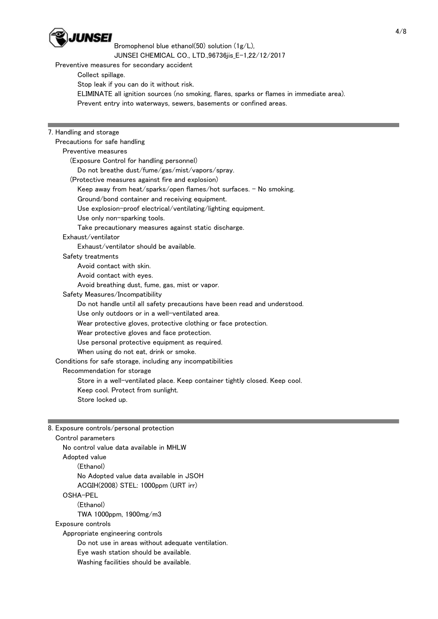

Bromophenol blue ethanol(50) solution (1g/L),

JUNSEI CHEMICAL CO., LTD.,96736jis\_E-1,22/12/2017

Preventive measures for secondary accident

Collect spillage.

Stop leak if you can do it without risk.

ELIMINATE all ignition sources (no smoking, flares, sparks or flames in immediate area).

Prevent entry into waterways, sewers, basements or confined areas.

# 7. Handling and storage

 Precautions for safe handling Preventive measures (Exposure Control for handling personnel) Do not breathe dust/fume/gas/mist/vapors/spray. (Protective measures against fire and explosion) Keep away from heat/sparks/open flames/hot surfaces. - No smoking. Ground/bond container and receiving equipment. Use explosion-proof electrical/ventilating/lighting equipment. Use only non-sparking tools. Take precautionary measures against static discharge. Exhaust/ventilator Exhaust/ventilator should be available. Safety treatments Avoid contact with skin. Avoid contact with eyes. Avoid breathing dust, fume, gas, mist or vapor. Safety Measures/Incompatibility Do not handle until all safety precautions have been read and understood. Use only outdoors or in a well-ventilated area. Wear protective gloves, protective clothing or face protection. Wear protective gloves and face protection. Use personal protective equipment as required. When using do not eat, drink or smoke. Conditions for safe storage, including any incompatibilities Recommendation for storage Store in a well-ventilated place. Keep container tightly closed. Keep cool. Keep cool. Protect from sunlight. Store locked up.

# 8. Exposure controls/personal protection

 Control parameters No control value data available in MHLW Adopted value (Ethanol) No Adopted value data available in JSOH ACGIH(2008) STEL: 1000ppm (URT irr) OSHA-PEL (Ethanol) TWA 1000ppm, 1900mg/m3 Exposure controls Appropriate engineering controls Do not use in areas without adequate ventilation. Eye wash station should be available. Washing facilities should be available.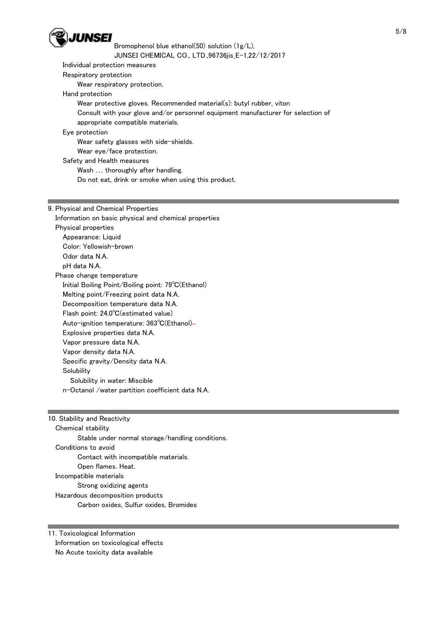

 Individual protection measures Respiratory protection Wear respiratory protection. Hand protection Wear protective gloves. Recommended material(s): butyl rubber, viton Consult with your glove and/or personnel equipment manufacturer for selection of appropriate compatible materials. Eye protection Wear safety glasses with side-shields. Wear eye/face protection. Safety and Health measures Wash … thoroughly after handling. Do not eat, drink or smoke when using this product. 9. Physical and Chemical Properties Information on basic physical and chemical properties

 Physical properties Appearance: Liquid Color: Yellowish-brown Odor data N.A. pH data N.A. Phase change temperature Initial Boiling Point/Boiling point: 79℃(Ethanol) Melting point/Freezing point data N.A. Decomposition temperature data N.A. Flash point: 24.0℃(estimated value) Auto-ignition temperature: 363℃(Ethanol) Explosive properties data N.A. Vapor pressure data N.A. Vapor density data N.A. Specific gravity/Density data N.A. **Solubility**  Solubility in water: Miscible n-Octanol /water partition coefficient data N.A.

10. Stability and Reactivity Chemical stability Stable under normal storage/handling conditions. Conditions to avoid Contact with incompatible materials. Open flames. Heat. Incompatible materials Strong oxidizing agents Hazardous decomposition products Carbon oxides, Sulfur oxides, Bromides

11. Toxicological Information Information on toxicological effects No Acute toxicity data available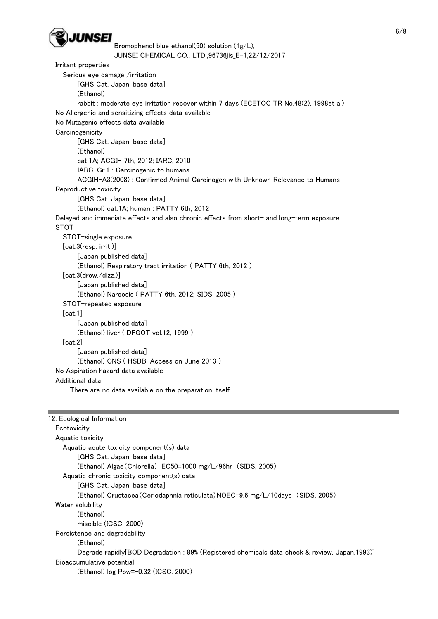

```
Bromophenol blue ethanol(50) solution (1g/L), 
                  JUNSEI CHEMICAL CO., LTD.,96736jis_E-1,22/12/2017 
Irritant properties 
  Serious eye damage /irritation 
       [GHS Cat. Japan, base data] 
       (Ethanol) 
       rabbit : moderate eye irritation recover within 7 days (ECETOC TR No.48(2), 1998et al) 
No Allergenic and sensitizing effects data available
```
No Mutagenic effects data available

**Carcinogenicity** 

[GHS Cat. Japan, base data]

(Ethanol)

cat.1A; ACGIH 7th, 2012; IARC, 2010

 IARC-Gr.1 : Carcinogenic to humans ACGIH-A3(2008) : Confirmed Animal Carcinogen with Unknown Relevance to Humans

Reproductive toxicity

[GHS Cat. Japan, base data]

(Ethanol) cat.1A; human : PATTY 6th, 2012

 Delayed and immediate effects and also chronic effects from short- and long-term exposure **STOT** 

```
 STOT-single exposure 
  [cat.3(resp. irrit.)] 
       [Japan published data] 
       (Ethanol) Respiratory tract irritation ( PATTY 6th, 2012 ) 
  [cat.3(drow./dizz.)] 
       [Japan published data] 
       (Ethanol) Narcosis ( PATTY 6th, 2012; SIDS, 2005 ) 
  STOT-repeated exposure 
  [cat.1] 
       [Japan published data] 
       (Ethanol) liver ( DFGOT vol.12, 1999 ) 
  [cat.2] 
       [Japan published data] 
       (Ethanol) CNS ( HSDB, Access on June 2013 ) 
No Aspiration hazard data available 
Additional data
```
There are no data available on the preparation itself.

```
12. Ecological Information 
 Ecotoxicity
  Aquatic toxicity 
    Aquatic acute toxicity component(s) data 
         [GHS Cat. Japan, base data] 
         (Ethanol) Algae(Chlorella) EC50=1000 mg/L/96hr (SIDS, 2005) 
    Aquatic chronic toxicity component(s) data 
         [GHS Cat. Japan, base data] 
         (Ethanol) Crustacea(Ceriodaphnia reticulata)NOEC=9.6 mg/L/10days (SIDS, 2005) 
  Water solubility 
         (Ethanol) 
         miscible (ICSC, 2000) 
  Persistence and degradability 
         (Ethanol) 
        Degrade rapidly[BOD Degradation : 89% (Registered chemicals data check & review, Japan,1993)]
  Bioaccumulative potential 
         (Ethanol) log Pow=-0.32 (ICSC, 2000)
```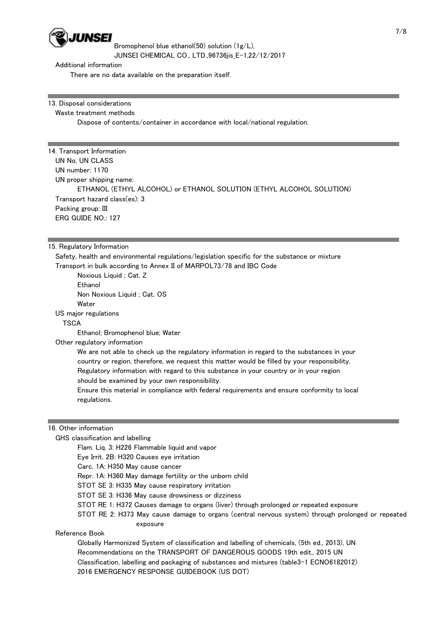

Additional information

There are no data available on the preparation itself.

13. Disposal considerations

Waste treatment methods

Dispose of contents/container in accordance with local/national regulation.

14. Transport Information UN No, UN CLASS UN number: 1170 UN proper shipping name: ETHANOL (ETHYL ALCOHOL) or ETHANOL SOLUTION (ETHYL ALCOHOL SOLUTION) Transport hazard class(es): 3 Packing group: III ERG GUIDE NO.: 127

## 15. Regulatory Information

 Safety, health and environmental regulations/legislation specific for the substance or mixture Transport in bulk according to Annex II of MARPOL73/78 and IBC Code

 Noxious Liquid ; Cat. Z Ethanol Non Noxious Liquid ; Cat. OS **Water** 

US major regulations

**TSCA** 

Ethanol; Bromophenol blue; Water

Other regulatory information

 We are not able to check up the regulatory information in regard to the substances in your country or region, therefore, we request this matter would be filled by your responsibility. Regulatory information with regard to this substance in your country or in your region should be examined by your own responsibility.

 Ensure this material in compliance with federal requirements and ensure conformity to local regulations.

## 16. Other information

GHS classification and labelling

Flam. Liq. 3: H226 Flammable liquid and vapor

Eye Irrit. 2B: H320 Causes eye irritation

Carc. 1A: H350 May cause cancer

Repr. 1A: H360 May damage fertility or the unborn child

STOT SE 3: H335 May cause respiratory irritation

STOT SE 3: H336 May cause drowsiness or dizziness

STOT RE 1: H372 Causes damage to organs (liver) through prolonged or repeated exposure

 STOT RE 2: H373 May cause damage to organs (central nervous system) through prolonged or repeated exposure

## Reference Book

 Globally Harmonized System of classification and labelling of chemicals, (5th ed., 2013), UN Recommendations on the TRANSPORT OF DANGEROUS GOODS 19th edit., 2015 UN Classification, labelling and packaging of substances and mixtures (table3-1 ECNO6182012) 2016 EMERGENCY RESPONSE GUIDEBOOK (US DOT)